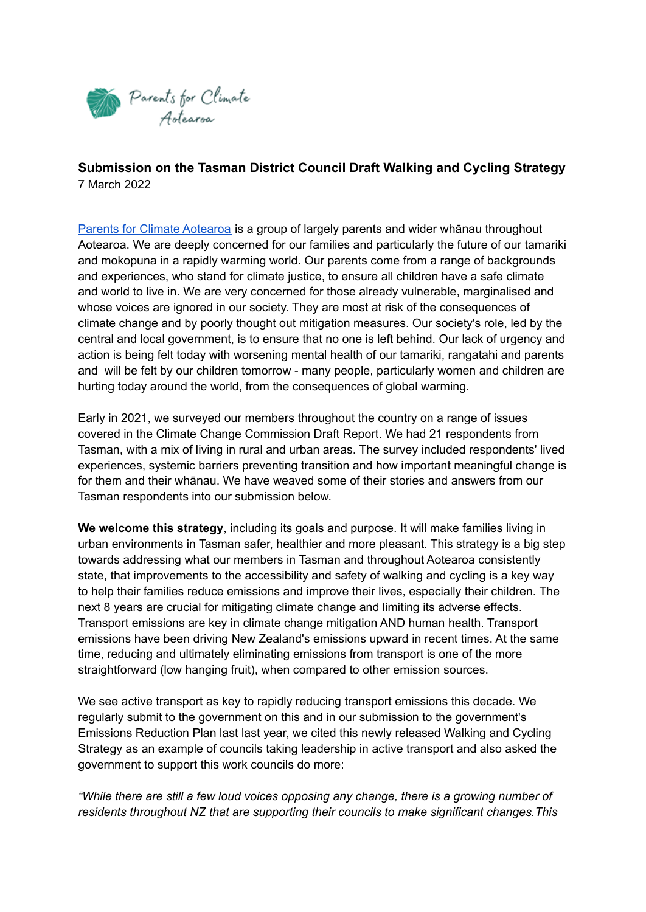

**Submission on the Tasman District Council Draft Walking and Cycling Strategy** 7 March 2022

Parents for Climate [Aotearoa](https://www.parentsforclimatenz.org/) is a group of largely parents and wider whānau throughout Aotearoa. We are deeply concerned for our families and particularly the future of our tamariki and mokopuna in a rapidly warming world. Our parents come from a range of backgrounds and experiences, who stand for climate justice, to ensure all children have a safe climate and world to live in. We are very concerned for those already vulnerable, marginalised and whose voices are ignored in our society. They are most at risk of the consequences of climate change and by poorly thought out mitigation measures. Our society's role, led by the central and local government, is to ensure that no one is left behind. Our lack of urgency and action is being felt today with worsening mental health of our tamariki, rangatahi and parents and will be felt by our children tomorrow - many people, particularly women and children are hurting today around the world, from the consequences of global warming.

Early in 2021, we surveyed our members throughout the country on a range of issues covered in the Climate Change Commission Draft Report. We had 21 respondents from Tasman, with a mix of living in rural and urban areas. The survey included respondents' lived experiences, systemic barriers preventing transition and how important meaningful change is for them and their whānau. We have weaved some of their stories and answers from our Tasman respondents into our submission below.

**We welcome this strategy**, including its goals and purpose. It will make families living in urban environments in Tasman safer, healthier and more pleasant. This strategy is a big step towards addressing what our members in Tasman and throughout Aotearoa consistently state, that improvements to the accessibility and safety of walking and cycling is a key way to help their families reduce emissions and improve their lives, especially their children. The next 8 years are crucial for mitigating climate change and limiting its adverse effects. Transport emissions are key in climate change mitigation AND human health. Transport emissions have been driving New Zealand's emissions upward in recent times. At the same time, reducing and ultimately eliminating emissions from transport is one of the more straightforward (low hanging fruit), when compared to other emission sources.

We see active transport as key to rapidly reducing transport emissions this decade. We regularly submit to the government on this and in our submission to the government's Emissions Reduction Plan last last year, we cited this newly released Walking and Cycling Strategy as an example of councils taking leadership in active transport and also asked the government to support this work councils do more:

*"While there are still a few loud voices opposing any change, there is a growing number of residents throughout NZ that are supporting their councils to make significant changes.This*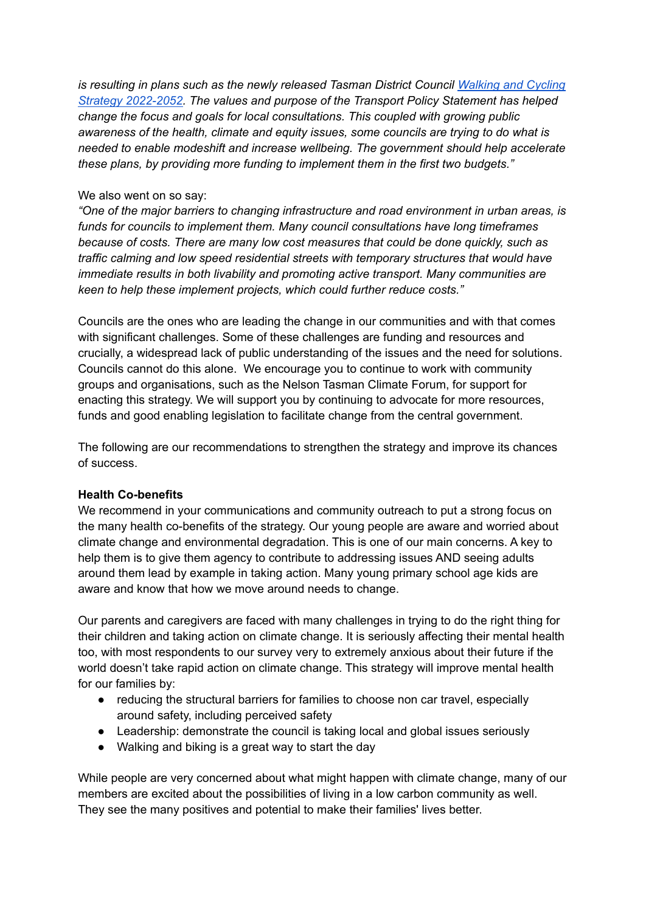*is resulting in plans such as the newly released Tasman District Council [Walking](https://www.tasman.govt.nz/my-council/public-consultation/current-consultations/draft-walking-and-cycling-strategy/) and Cycling Strategy [2022-2052.](https://www.tasman.govt.nz/my-council/public-consultation/current-consultations/draft-walking-and-cycling-strategy/) The values and purpose of the Transport Policy Statement has helped change the focus and goals for local consultations. This coupled with growing public awareness of the health, climate and equity issues, some councils are trying to do what is needed to enable modeshift and increase wellbeing. The government should help accelerate these plans, by providing more funding to implement them in the first two budgets."*

#### We also went on so say:

*"One of the major barriers to changing infrastructure and road environment in urban areas, is funds for councils to implement them. Many council consultations have long timeframes because of costs. There are many low cost measures that could be done quickly, such as traffic calming and low speed residential streets with temporary structures that would have immediate results in both livability and promoting active transport. Many communities are keen to help these implement projects, which could further reduce costs."*

Councils are the ones who are leading the change in our communities and with that comes with significant challenges. Some of these challenges are funding and resources and crucially, a widespread lack of public understanding of the issues and the need for solutions. Councils cannot do this alone. We encourage you to continue to work with community groups and organisations, such as the Nelson Tasman Climate Forum, for support for enacting this strategy. We will support you by continuing to advocate for more resources, funds and good enabling legislation to facilitate change from the central government.

The following are our recommendations to strengthen the strategy and improve its chances of success.

#### **Health Co-benefits**

We recommend in your communications and community outreach to put a strong focus on the many health co-benefits of the strategy. Our young people are aware and worried about climate change and environmental degradation. This is one of our main concerns. A key to help them is to give them agency to contribute to addressing issues AND seeing adults around them lead by example in taking action. Many young primary school age kids are aware and know that how we move around needs to change.

Our parents and caregivers are faced with many challenges in trying to do the right thing for their children and taking action on climate change. It is seriously affecting their mental health too, with most respondents to our survey very to extremely anxious about their future if the world doesn't take rapid action on climate change. This strategy will improve mental health for our families by:

- reducing the structural barriers for families to choose non car travel, especially around safety, including perceived safety
- Leadership: demonstrate the council is taking local and global issues seriously
- Walking and biking is a great way to start the day

While people are very concerned about what might happen with climate change, many of our members are excited about the possibilities of living in a low carbon community as well. They see the many positives and potential to make their families' lives better.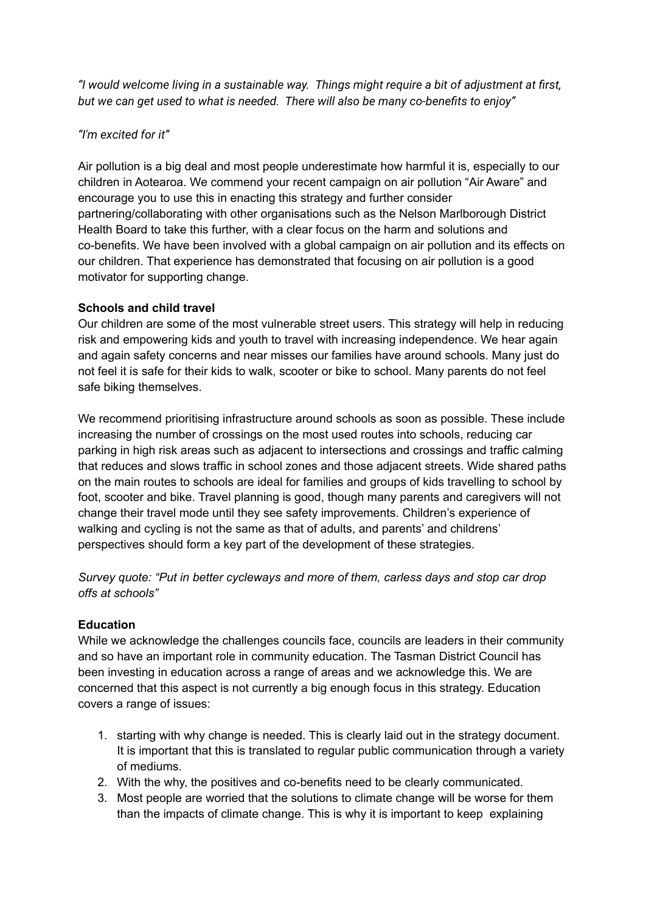*"I would welcome living in a sustainable way. Things might require a bit of adjustment at first, but we can get used to what is needed. There will also be many co-benefits to enjoy"*

## *"I'm excited for it"*

Air pollution is a big deal and most people underestimate how harmful it is, especially to our children in Aotearoa. We commend your recent campaign on air pollution "Air Aware" and encourage you to use this in enacting this strategy and further consider partnering/collaborating with other organisations such as the Nelson Marlborough District Health Board to take this further, with a clear focus on the harm and solutions and co-benefits. We have been involved with a global campaign on air pollution and its effects on our children. That experience has demonstrated that focusing on air pollution is a good motivator for supporting change.

## **Schools and child travel**

Our children are some of the most vulnerable street users. This strategy will help in reducing risk and empowering kids and youth to travel with increasing independence. We hear again and again safety concerns and near misses our families have around schools. Many just do not feel it is safe for their kids to walk, scooter or bike to school. Many parents do not feel safe biking themselves.

We recommend prioritising infrastructure around schools as soon as possible. These include increasing the number of crossings on the most used routes into schools, reducing car parking in high risk areas such as adjacent to intersections and crossings and traffic calming that reduces and slows traffic in school zones and those adjacent streets. Wide shared paths on the main routes to schools are ideal for families and groups of kids travelling to school by foot, scooter and bike. Travel planning is good, though many parents and caregivers will not change their travel mode until they see safety improvements. Children's experience of walking and cycling is not the same as that of adults, and parents' and childrens' perspectives should form a key part of the development of these strategies.

*Survey quote: "Put in better cycleways and more of them, carless days and stop car drop offs at schools"*

# **Education**

While we acknowledge the challenges councils face, councils are leaders in their community and so have an important role in community education. The Tasman District Council has been investing in education across a range of areas and we acknowledge this. We are concerned that this aspect is not currently a big enough focus in this strategy. Education covers a range of issues:

- 1. starting with why change is needed. This is clearly laid out in the strategy document. It is important that this is translated to regular public communication through a variety of mediums.
- 2. With the why, the positives and co-benefits need to be clearly communicated.
- 3. Most people are worried that the solutions to climate change will be worse for them than the impacts of climate change. This is why it is important to keep explaining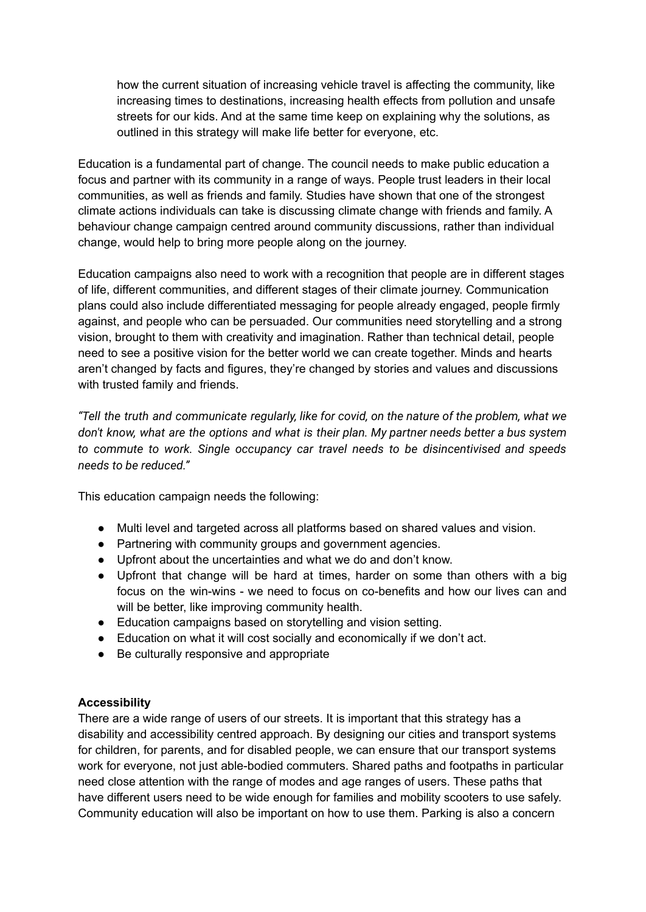how the current situation of increasing vehicle travel is affecting the community, like increasing times to destinations, increasing health effects from pollution and unsafe streets for our kids. And at the same time keep on explaining why the solutions, as outlined in this strategy will make life better for everyone, etc.

Education is a fundamental part of change. The council needs to make public education a focus and partner with its community in a range of ways. People trust leaders in their local communities, as well as friends and family. Studies have shown that one of the strongest climate actions individuals can take is discussing climate change with friends and family. A behaviour change campaign centred around community discussions, rather than individual change, would help to bring more people along on the journey.

Education campaigns also need to work with a recognition that people are in different stages of life, different communities, and different stages of their climate journey. Communication plans could also include differentiated messaging for people already engaged, people firmly against, and people who can be persuaded. Our communities need storytelling and a strong vision, brought to them with creativity and imagination. Rather than technical detail, people need to see a positive vision for the better world we can create together. Minds and hearts aren't changed by facts and figures, they're changed by stories and values and discussions with trusted family and friends.

*"Tell the truth and communicate regularly, like for covid, on the nature of the problem, what we don't know, what are the options and what is their plan. My partner needs better a bus system to commute to work. Single occupancy car travel needs to be disincentivised and speeds needs to be reduced."*

This education campaign needs the following:

- Multi level and targeted across all platforms based on shared values and vision.
- Partnering with community groups and government agencies.
- Upfront about the uncertainties and what we do and don't know.
- Upfront that change will be hard at times, harder on some than others with a big focus on the win-wins - we need to focus on co-benefits and how our lives can and will be better, like improving community health.
- Education campaigns based on storytelling and vision setting.
- Education on what it will cost socially and economically if we don't act.
- Be culturally responsive and appropriate

## **Accessibility**

There are a wide range of users of our streets. It is important that this strategy has a disability and accessibility centred approach. By designing our cities and transport systems for children, for parents, and for disabled people, we can ensure that our transport systems work for everyone, not just able-bodied commuters. Shared paths and footpaths in particular need close attention with the range of modes and age ranges of users. These paths that have different users need to be wide enough for families and mobility scooters to use safely. Community education will also be important on how to use them. Parking is also a concern